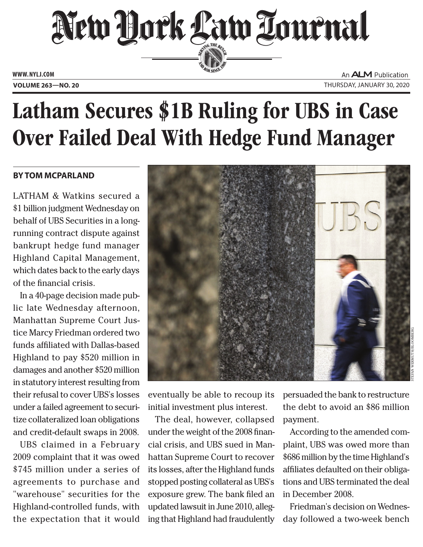

An **ALM** Publication **Volume 263—NO. 20** Thursday, january 30, 2020

## Latham Secures \$1B Ruling for UBS in Case Over Failed Deal With Hedge Fund Manager

## **By Tom McParland**

LATHAM & Watkins secured a \$1 billion judgment Wednesday on behalf of UBS Securities in a longrunning contract dispute against bankrupt hedge fund manager Highland Capital Management, which dates back to the early days of the financial crisis.

In a 40-page decision made public late Wednesday afternoon, Manhattan Supreme Court Justice Marcy Friedman ordered two funds affiliated with Dallas-based Highland to pay \$520 million in damages and another \$520 million in statutory interest resulting from their refusal to cover UBS's losses under a failed agreement to securitize collateralized loan obligations and credit-default swaps in 2008.

UBS claimed in a February 2009 complaint that it was owed \$745 million under a series of agreements to purchase and "warehouse" securities for the Highland-controlled funds, with the expectation that it would



eventually be able to recoup its initial investment plus interest.

The deal, however, collapsed under the weight of the 2008 financial crisis, and UBS sued in Manhattan Supreme Court to recover its losses, after the Highland funds stopped posting collateral as UBS's exposure grew. The bank filed an updated lawsuit in June 2010, alleging that Highland had fraudulently

persuaded the bank to restructure the debt to avoid an \$86 million payment.

According to the amended complaint, UBS was owed more than \$686 million by the time Highland's affiliates defaulted on their obligations and UBS terminated the deal in December 2008.

Friedman's decision on Wednesday followed a two-week bench